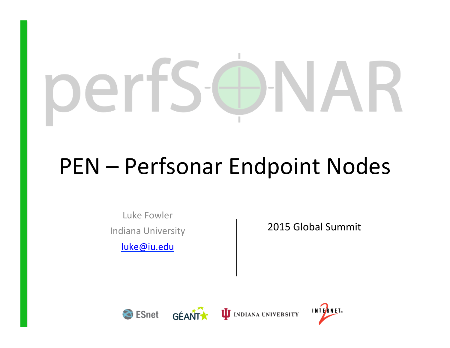# $\hspace{0.1mm}-\hspace{0.1mm}$  $\sim$

# PEN – Perfsonar Endpoint Nodes

Luke Fowler Indiana University 

luke@iu.edu

2015 Global Summit







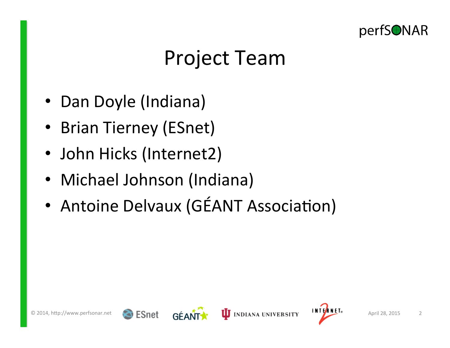

#### Project Team

- Dan Doyle (Indiana)
- Brian Tierney (ESnet)
- John Hicks (Internet2)
- Michael Johnson (Indiana)
- Antoine Delvaux (GÉANT Association)







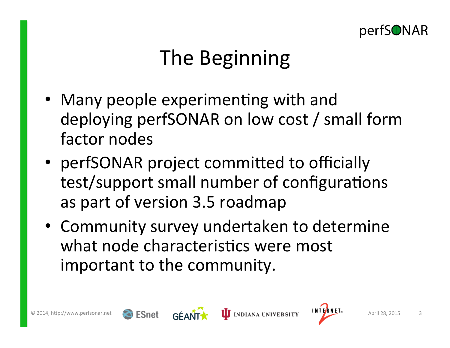

## The Beginning

- Many people experimenting with and deploying perfSONAR on low cost / small form factor nodes
- perfSONAR project committed to officially test/support small number of configurations as part of version 3.5 roadmap
- Community survey undertaken to determine what node characteristics were most important to the community.





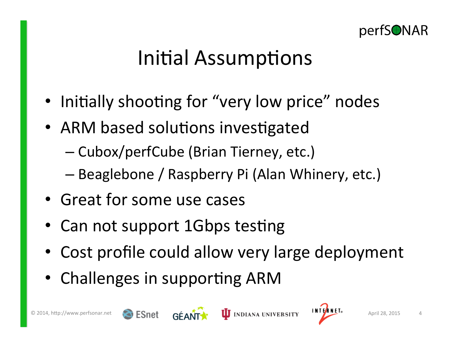

#### Initial Assumptions

- Initially shooting for "very low price" nodes
- ARM based solutions investigated
	- Cubox/perfCube (Brian Tierney, etc.)
	- Beaglebone / Raspberry Pi (Alan Whinery, etc.)
- Great for some use cases
- Can not support 1Gbps testing
- Cost profile could allow very large deployment
- Challenges in supporting ARM





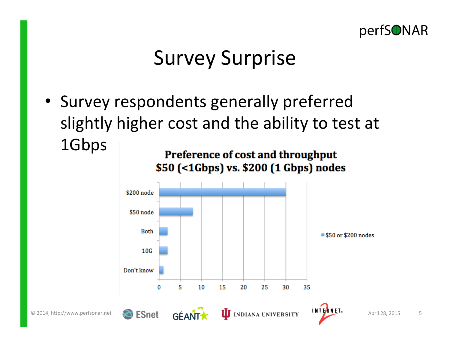

## Survey Surprise

• Survey respondents generally preferred slightly higher cost and the ability to test at 1Gbps Preference of cost and throughput

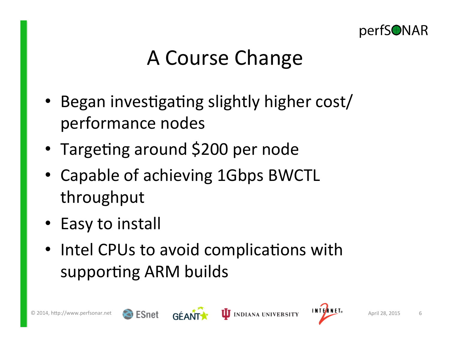

## A Course Change

- Began investigating slightly higher cost/ performance nodes
- Targeting around \$200 per node
- Capable of achieving 1Gbps BWCTL throughput
- Easy to install
- Intel CPUs to avoid complications with supporting ARM builds



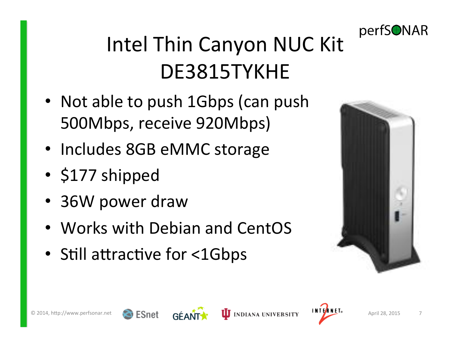

## Intel Thin Canyon NUC Kit DE3815TYKHE

- Not able to push 1Gbps (can push 500Mbps, receive 920Mbps)
- Includes 8GB eMMC storage
- \$177 shipped
- 36W power draw
- Works with Debian and CentOS
- Still attractive for <1Gbps









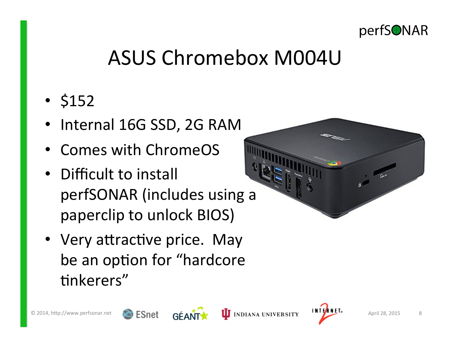

## ASUS Chromebox M004U

- \$152
- Internal 16G SSD, 2G RAM
- Comes with ChromeOS
- Difficult to install perfSONAR (includes using a paperclip to unlock BIOS)
- Very attractive price. May be an option for "hardcore tinkerers"





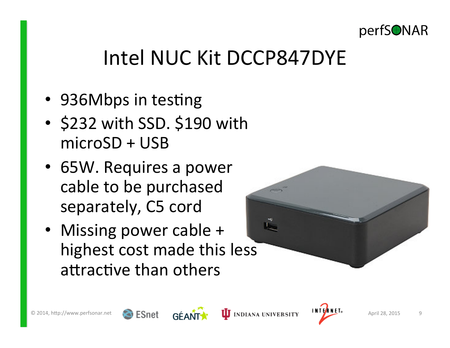

## Intel NUC Kit DCCP847DYE

- 936Mbps in testing
- \$232 with SSD. \$190 with microSD + USB
- 65W. Requires a power cable to be purchased separately, C5 cord
- Missing power cable + highest cost made this less attractive than others

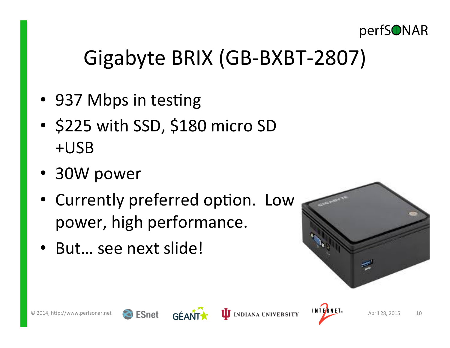

## Gigabyte BRIX (GB-BXBT-2807)

- 937 Mbps in testing
- \$225 with SSD, \$180 micro SD +USB
- 30W power
- Currently preferred option. Low power, high performance.
- But... see next slide!

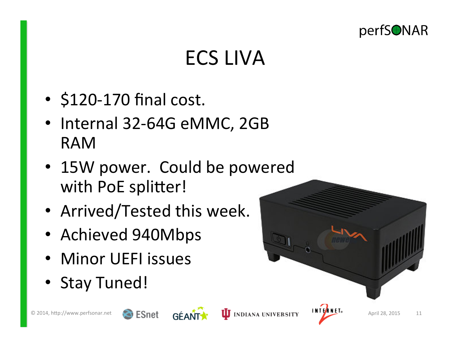

## ECS LIVA

- $\cdot$  \$120-170 final cost.
- Internal 32-64G eMMC, 2GB RAM
- 15W power. Could be powered with PoE splitter!
- Arrived/Tested this week.
- Achieved 940Mbps
- Minor UEFI issues
- Stay Tuned!